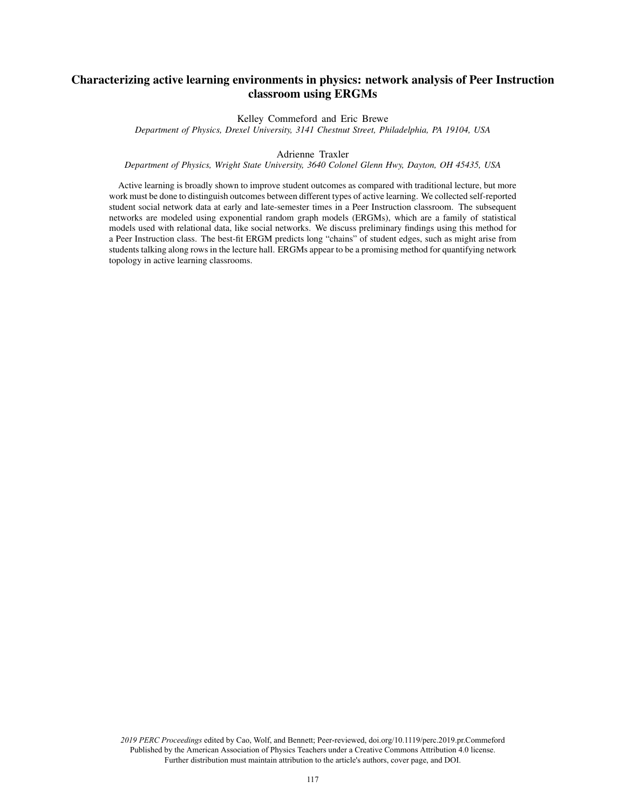# Characterizing active learning environments in physics: network analysis of Peer Instruction classroom using ERGMs

Kelley Commeford and Eric Brewe

*Department of Physics, Drexel University, 3141 Chestnut Street, Philadelphia, PA 19104, USA*

Adrienne Traxler

*Department of Physics, Wright State University, 3640 Colonel Glenn Hwy, Dayton, OH 45435, USA*

Active learning is broadly shown to improve student outcomes as compared with traditional lecture, but more work must be done to distinguish outcomes between different types of active learning. We collected self-reported student social network data at early and late-semester times in a Peer Instruction classroom. The subsequent networks are modeled using exponential random graph models (ERGMs), which are a family of statistical models used with relational data, like social networks. We discuss preliminary findings using this method for a Peer Instruction class. The best-fit ERGM predicts long "chains" of student edges, such as might arise from students talking along rows in the lecture hall. ERGMs appear to be a promising method for quantifying network topology in active learning classrooms.

*2019 PERC Proceedings* edited by Cao, Wolf, and Bennett; Peer-reviewed, doi.org/10.1119/perc.2019.pr.Commeford Published by the American Association of Physics Teachers under a Creative Commons Attribution 4.0 license. Further distribution must maintain attribution to the article's authors, cover page, and DOI.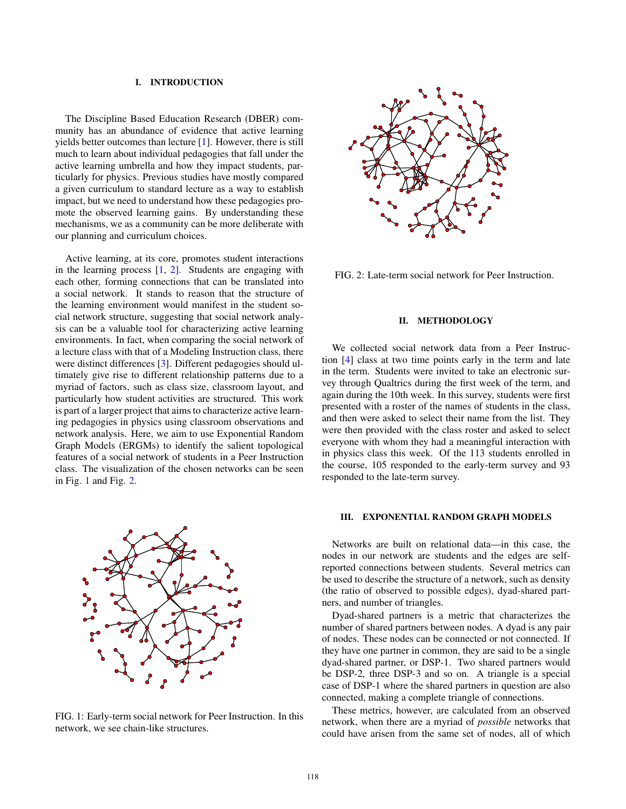# I. INTRODUCTION

The Discipline Based Education Research (DBER) community has an abundance of evidence that active learning yields better outcomes than lecture [1]. However, there is still much to learn about individual pedagogies that fall under the active learning umbrella and how they impact students, particularly for physics. Previous studies have mostly compared a given curriculum to standard lecture as a way to establish impact, but we need to understand how these pedagogies promote the observed learning gains. By understanding these mechanisms, we as a community can be more deliberate with our planning and curriculum choices.

Active learning, at its core, promotes student interactions in the learning process  $[1, 2]$ . Students are engaging with each other, forming connections that can be translated into a social network. It stands to reason that the structure of the learning environment would manifest in the student social network structure, suggesting that social network analysis can be a valuable tool for characterizing active learning environments. In fact, when comparing the social network of a lecture class with that of a Modeling Instruction class, there were distinct differences [3]. Different pedagogies should ultimately give rise to different relationship patterns due to a myriad of factors, such as class size, classroom layout, and particularly how student activities are structured. This work is part of a larger project that aims to characterize active learning pedagogies in physics using classroom observations and network analysis. Here, we aim to use Exponential Random Graph Models (ERGMs) to identify the salient topological features of a social network of students in a Peer Instruction class. The visualization of the chosen networks can be seen in Fig. [1](#page-1-0) and Fig. [2.](#page-1-1)

<span id="page-1-0"></span>

FIG. 1: Early-term social network for Peer Instruction. In this network, we see chain-like structures.

<span id="page-1-1"></span>

FIG. 2: Late-term social network for Peer Instruction.

#### II. METHODOLOGY

We collected social network data from a Peer Instruction [4] class at two time points early in the term and late in the term. Students were invited to take an electronic survey through Qualtrics during the first week of the term, and again during the 10th week. In this survey, students were first presented with a roster of the names of students in the class, and then were asked to select their name from the list. They were then provided with the class roster and asked to select everyone with whom they had a meaningful interaction with in physics class this week. Of the 113 students enrolled in the course, 105 responded to the early-term survey and 93 responded to the late-term survey.

# III. EXPONENTIAL RANDOM GRAPH MODELS

Networks are built on relational data—in this case, the nodes in our network are students and the edges are selfreported connections between students. Several metrics can be used to describe the structure of a network, such as density (the ratio of observed to possible edges), dyad-shared partners, and number of triangles.

Dyad-shared partners is a metric that characterizes the number of shared partners between nodes. A dyad is any pair of nodes. These nodes can be connected or not connected. If they have one partner in common, they are said to be a single dyad-shared partner, or DSP-1. Two shared partners would be DSP-2, three DSP-3 and so on. A triangle is a special case of DSP-1 where the shared partners in question are also connected, making a complete triangle of connections.

These metrics, however, are calculated from an observed network, when there are a myriad of *possible* networks that could have arisen from the same set of nodes, all of which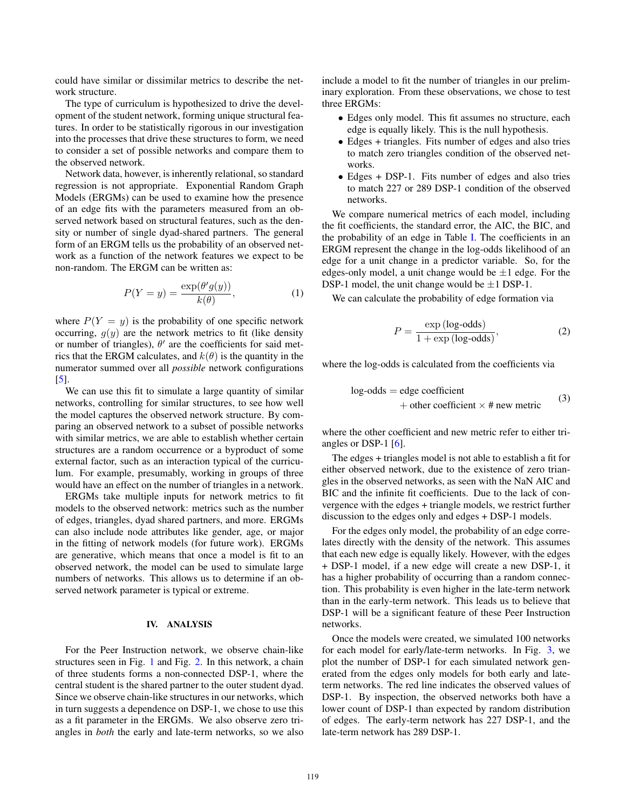could have similar or dissimilar metrics to describe the network structure.

The type of curriculum is hypothesized to drive the development of the student network, forming unique structural features. In order to be statistically rigorous in our investigation into the processes that drive these structures to form, we need to consider a set of possible networks and compare them to the observed network.

Network data, however, is inherently relational, so standard regression is not appropriate. Exponential Random Graph Models (ERGMs) can be used to examine how the presence of an edge fits with the parameters measured from an observed network based on structural features, such as the density or number of single dyad-shared partners. The general form of an ERGM tells us the probability of an observed network as a function of the network features we expect to be non-random. The ERGM can be written as:

$$
P(Y = y) = \frac{\exp(\theta'g(y))}{k(\theta)},
$$
\n(1)

where  $P(Y = y)$  is the probability of one specific network occurring,  $g(y)$  are the network metrics to fit (like density or number of triangles),  $\theta'$  are the coefficients for said metrics that the ERGM calculates, and  $k(\theta)$  is the quantity in the numerator summed over all *possible* network configurations [5].

We can use this fit to simulate a large quantity of similar networks, controlling for similar structures, to see how well the model captures the observed network structure. By comparing an observed network to a subset of possible networks with similar metrics, we are able to establish whether certain structures are a random occurrence or a byproduct of some external factor, such as an interaction typical of the curriculum. For example, presumably, working in groups of three would have an effect on the number of triangles in a network.

ERGMs take multiple inputs for network metrics to fit models to the observed network: metrics such as the number of edges, triangles, dyad shared partners, and more. ERGMs can also include node attributes like gender, age, or major in the fitting of network models (for future work). ERGMs are generative, which means that once a model is fit to an observed network, the model can be used to simulate large numbers of networks. This allows us to determine if an observed network parameter is typical or extreme.

#### IV. ANALYSIS

For the Peer Instruction network, we observe chain-like structures seen in Fig. 1 and Fig. 2. In this network, a chain of three students forms a non-connected DSP-1, where the central student is the shared partner to the outer student dyad. Since we observe chain-like structures in our networks, which in turn suggests a dependence on DSP-1, we chose to use this as a fit parameter in the ERGMs. We also observe zero triangles in *both* the early and late-term networks, so we also include a model to fit the number of triangles in our preliminary exploration. From these observations, we chose to test three ERGMs:

- Edges only model. This fit assumes no structure, each edge is equally likely. This is the null hypothesis.
- Edges + triangles. Fits number of edges and also tries to match zero triangles condition of the observed networks.
- Edges + DSP-1. Fits number of edges and also tries to match 227 or 289 DSP-1 condition of the observed networks.

We compare numerical metrics of each model, including the fit coefficients, the standard error, the AIC, the BIC, and the probability of an edge in Table I. The coefficients in an ERGM represent the change in the log-odds likelihood of an edge for a unit change in a predictor variable. So, for the edges-only model, a unit change would be  $\pm 1$  edge. For the DSP-1 model, the unit change would be  $\pm 1$  DSP-1.

We can calculate the probability of edge formation via

$$
P = \frac{\exp(\log - \text{odds})}{1 + \exp(\log - \text{odds})},\tag{2}
$$

where the log-odds is calculated from the coefficients via

$$
log-odds = edge coefficient+ other coefficient × # new metric
$$
 (3)

where the other coefficient and new metric refer to either triangles or DSP-1 [6].

The edges + triangles model is not able to establish a fit for either observed network, due to the existence of zero triangles in the observed networks, as seen with the NaN AIC and BIC and the infinite fit coefficients. Due to the lack of convergence with the edges + triangle models, we restrict further discussion to the edges only and edges + DSP-1 models.

For the edges only model, the probability of an edge correlates directly with the density of the network. This assumes that each new edge is equally likely. However, with the edges + DSP-1 model, if a new edge will create a new DSP-1, it has a higher probability of occurring than a random connection. This probability is even higher in the late-term network than in the early-term network. This leads us to believe that DSP-1 will be a significant feature of these Peer Instruction networks.

Once the models were created, we simulated 100 networks for each model for early/late-term networks. In Fig. 3, we plot the number of DSP-1 for each simulated network generated from the edges only models for both early and lateterm networks. The red line indicates the observed values of DSP-1. By inspection, the observed networks both have a lower count of DSP-1 than expected by random distribution of edges. The early-term network has 227 DSP-1, and the late-term network has 289 DSP-1.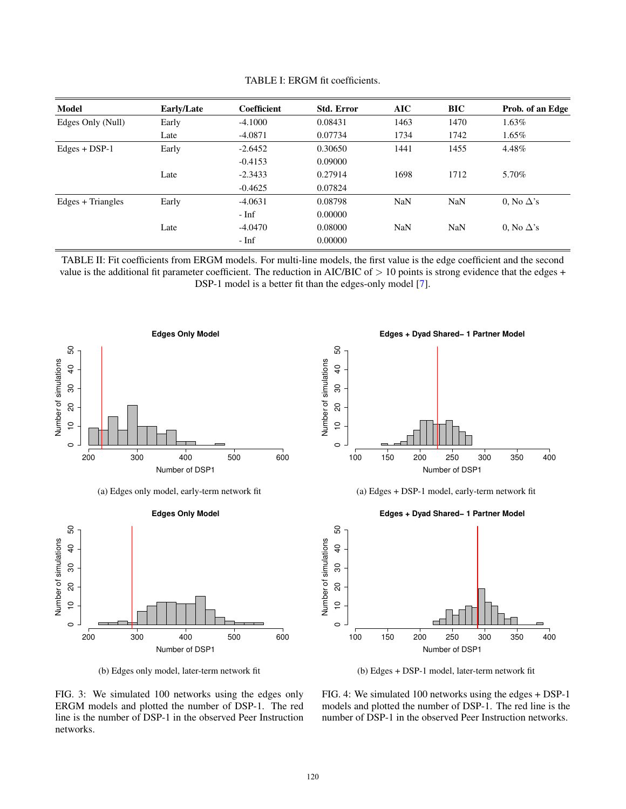| <b>Model</b>      | Early/Late | Coefficient | <b>Std. Error</b> | AIC        | <b>BIC</b> | Prob. of an Edge  |
|-------------------|------------|-------------|-------------------|------------|------------|-------------------|
| Edges Only (Null) | Early      | $-4.1000$   | 0.08431           | 1463       | 1470       | 1.63%             |
|                   | Late       | $-4.0871$   | 0.07734           | 1734       | 1742       | $1.65\%$          |
| $Edges + DSP-1$   | Early      | $-2.6452$   | 0.30650           | 1441       | 1455       | 4.48%             |
|                   |            | $-0.4153$   | 0.09000           |            |            |                   |
|                   | Late       | $-2.3433$   | 0.27914           | 1698       | 1712       | 5.70%             |
|                   |            | $-0.4625$   | 0.07824           |            |            |                   |
| Edges + Triangles | Early      | $-4.0631$   | 0.08798           | <b>NaN</b> | <b>NaN</b> | 0. No $\Delta$ 's |
|                   |            | - Inf       | 0.00000           |            |            |                   |
|                   | Late       | $-4.0470$   | 0.08000           | <b>NaN</b> | <b>NaN</b> | 0. No $\Delta$ 's |
|                   |            | - Inf       | 0.00000           |            |            |                   |

TABLE I: ERGM fit coefficients.

TABLE II: Fit coefficients from ERGM models. For multi-line models, the first value is the edge coefficient and the second value is the additional fit parameter coefficient. The reduction in AIC/BIC of  $> 10$  points is strong evidence that the edges + DSP-1 model is a better fit than the edges-only model [7].



(a) Edges only model, early-term network fit



(b) Edges only model, later-term network fit

**Edges + Dyad Shared− 1 Partner Model**





# **Edges + Dyad Shared− 1 Partner Model**



(b) Edges + DSP-1 model, later-term network fit

FIG. 3: We simulated 100 networks using the edges only ERGM models and plotted the number of DSP-1. The red line is the number of DSP-1 in the observed Peer Instruction networks.

FIG. 4: We simulated 100 networks using the edges + DSP-1 models and plotted the number of DSP-1. The red line is the number of DSP-1 in the observed Peer Instruction networks.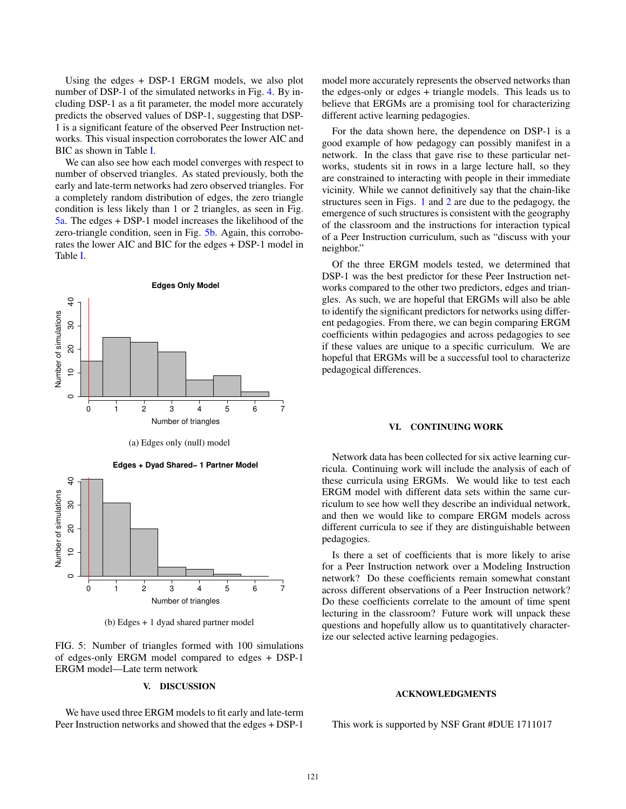Using the edges + DSP-1 ERGM models, we also plot number of DSP-1 of the simulated networks in Fig. 4. By including DSP-1 as a fit parameter, the model more accurately predicts the observed values of DSP-1, suggesting that DSP-1 is a significant feature of the observed Peer Instruction networks. This visual inspection corroborates the lower AIC and BIC as shown in Table I.

We can also see how each model converges with respect to number of observed triangles. As stated previously, both the early and late-term networks had zero observed triangles. For a completely random distribution of edges, the zero triangle condition is less likely than 1 or 2 triangles, as seen in Fig. [5a.](#page-4-0) The edges + DSP-1 model increases the likelihood of the zero-triangle condition, seen in Fig. [5b.](#page-4-0) Again, this corroborates the lower AIC and BIC for the edges + DSP-1 model in Table I.

<span id="page-4-0"></span>

(a) Edges only (null) model



(b) Edges + 1 dyad shared partner model

FIG. 5: Number of triangles formed with 100 simulations of edges-only ERGM model compared to edges + DSP-1 ERGM model—Late term network

### V. DISCUSSION

We have used three ERGM models to fit early and late-term Peer Instruction networks and showed that the edges + DSP-1 model more accurately represents the observed networks than the edges-only or edges + triangle models. This leads us to believe that ERGMs are a promising tool for characterizing different active learning pedagogies.

For the data shown here, the dependence on DSP-1 is a good example of how pedagogy can possibly manifest in a network. In the class that gave rise to these particular networks, students sit in rows in a large lecture hall, so they are constrained to interacting with people in their immediate vicinity. While we cannot definitively say that the chain-like structures seen in Figs. 1 and 2 are due to the pedagogy, the emergence of such structures is consistent with the geography of the classroom and the instructions for interaction typical of a Peer Instruction curriculum, such as "discuss with your neighbor."

Of the three ERGM models tested, we determined that DSP-1 was the best predictor for these Peer Instruction networks compared to the other two predictors, edges and triangles. As such, we are hopeful that ERGMs will also be able to identify the significant predictors for networks using different pedagogies. From there, we can begin comparing ERGM coefficients within pedagogies and across pedagogies to see if these values are unique to a specific curriculum. We are hopeful that ERGMs will be a successful tool to characterize pedagogical differences.

#### VI. CONTINUING WORK

Network data has been collected for six active learning curricula. Continuing work will include the analysis of each of these curricula using ERGMs. We would like to test each ERGM model with different data sets within the same curriculum to see how well they describe an individual network, and then we would like to compare ERGM models across different curricula to see if they are distinguishable between pedagogies.

Is there a set of coefficients that is more likely to arise for a Peer Instruction network over a Modeling Instruction network? Do these coefficients remain somewhat constant across different observations of a Peer Instruction network? Do these coefficients correlate to the amount of time spent lecturing in the classroom? Future work will unpack these questions and hopefully allow us to quantitatively characterize our selected active learning pedagogies.

#### ACKNOWLEDGMENTS

This work is supported by NSF Grant #DUE 1711017